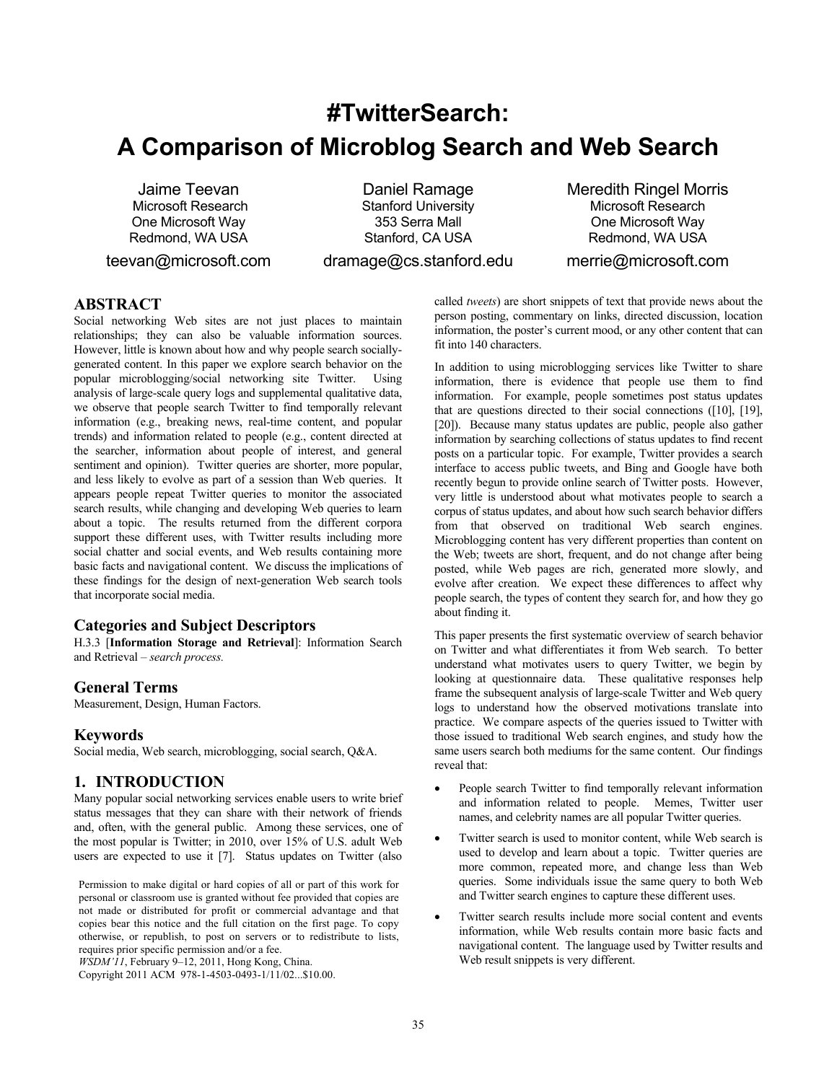# **#TwitterSearch: A Comparison of Microblog Search and Web Search**

Jaime Teevan Microsoft Research One Microsoft Way Redmond, WA USA

teevan@microsoft.com

Daniel Ramage Stanford University 353 Serra Mall Stanford, CA USA dramage@cs.stanford.edu Meredith Ringel Morris Microsoft Research One Microsoft Way Redmond, WA USA

merrie@microsoft.com

# **ABSTRACT**

Social networking Web sites are not just places to maintain relationships; they can also be valuable information sources. However, little is known about how and why people search sociallygenerated content. In this paper we explore search behavior on the popular microblogging/social networking site Twitter. Using analysis of large-scale query logs and supplemental qualitative data, we observe that people search Twitter to find temporally relevant information (e.g., breaking news, real-time content, and popular trends) and information related to people (e.g., content directed at the searcher, information about people of interest, and general sentiment and opinion). Twitter queries are shorter, more popular, and less likely to evolve as part of a session than Web queries. It appears people repeat Twitter queries to monitor the associated search results, while changing and developing Web queries to learn about a topic. The results returned from the different corpora support these different uses, with Twitter results including more social chatter and social events, and Web results containing more basic facts and navigational content. We discuss the implications of these findings for the design of next-generation Web search tools that incorporate social media.

## **Categories and Subject Descriptors**

H.3.3 [**Information Storage and Retrieval**]: Information Search and Retrieval – *search process.* 

## **General Terms**

Measurement, Design, Human Factors.

#### **Keywords**

Social media, Web search, microblogging, social search, Q&A.

#### **1. INTRODUCTION**

Many popular social networking services enable users to write brief status messages that they can share with their network of friends and, often, with the general public. Among these services, one of the most popular is Twitter; in 2010, over 15% of U.S. adult Web users are expected to use it [7]. Status updates on Twitter (also

Permission to make digital or hard copies of all or part of this work for personal or classroom use is granted without fee provided that copies are not made or distributed for profit or commercial advantage and that copies bear this notice and the full citation on the first page. To copy otherwise, or republish, to post on servers or to redistribute to lists, requires prior specific permission and/or a fee.

*WSDM'11*, February 9–12, 2011, Hong Kong, China.

Copyright 2011 ACM 978-1-4503-0493-1/11/02...\$10.00.

called *tweets*) are short snippets of text that provide news about the person posting, commentary on links, directed discussion, location information, the poster's current mood, or any other content that can fit into 140 characters.

In addition to using microblogging services like Twitter to share information, there is evidence that people use them to find information. For example, people sometimes post status updates that are questions directed to their social connections ([10], [19], [20]). Because many status updates are public, people also gather information by searching collections of status updates to find recent posts on a particular topic. For example, Twitter provides a search interface to access public tweets, and Bing and Google have both recently begun to provide online search of Twitter posts. However, very little is understood about what motivates people to search a corpus of status updates, and about how such search behavior differs from that observed on traditional Web search engines. Microblogging content has very different properties than content on the Web; tweets are short, frequent, and do not change after being posted, while Web pages are rich, generated more slowly, and evolve after creation. We expect these differences to affect why people search, the types of content they search for, and how they go about finding it.

This paper presents the first systematic overview of search behavior on Twitter and what differentiates it from Web search. To better understand what motivates users to query Twitter, we begin by looking at questionnaire data. These qualitative responses help frame the subsequent analysis of large-scale Twitter and Web query logs to understand how the observed motivations translate into practice. We compare aspects of the queries issued to Twitter with those issued to traditional Web search engines, and study how the same users search both mediums for the same content. Our findings reveal that:

- People search Twitter to find temporally relevant information and information related to people. Memes, Twitter user names, and celebrity names are all popular Twitter queries.
- Twitter search is used to monitor content, while Web search is used to develop and learn about a topic. Twitter queries are more common, repeated more, and change less than Web queries. Some individuals issue the same query to both Web and Twitter search engines to capture these different uses.
- Twitter search results include more social content and events information, while Web results contain more basic facts and navigational content. The language used by Twitter results and Web result snippets is very different.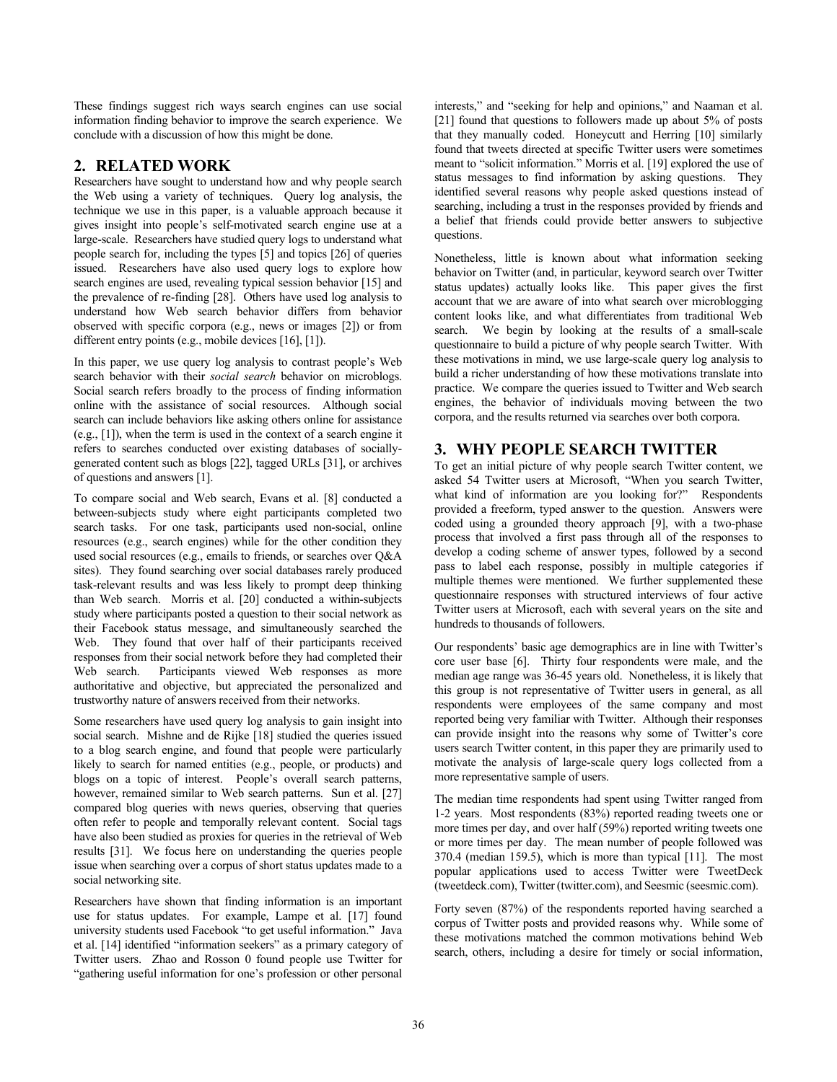These findings suggest rich ways search engines can use social information finding behavior to improve the search experience. We conclude with a discussion of how this might be done.

## **2. RELATED WORK**

Researchers have sought to understand how and why people search the Web using a variety of techniques. Query log analysis, the technique we use in this paper, is a valuable approach because it gives insight into people's self-motivated search engine use at a large-scale. Researchers have studied query logs to understand what people search for, including the types [5] and topics [26] of queries issued. Researchers have also used query logs to explore how search engines are used, revealing typical session behavior [15] and the prevalence of re-finding [28]. Others have used log analysis to understand how Web search behavior differs from behavior observed with specific corpora (e.g., news or images [2]) or from different entry points (e.g., mobile devices [16], [1]).

In this paper, we use query log analysis to contrast people's Web search behavior with their *social search* behavior on microblogs. Social search refers broadly to the process of finding information online with the assistance of social resources. Although social search can include behaviors like asking others online for assistance (e.g., [1]), when the term is used in the context of a search engine it refers to searches conducted over existing databases of sociallygenerated content such as blogs [22], tagged URLs [31], or archives of questions and answers [1].

To compare social and Web search, Evans et al. [8] conducted a between-subjects study where eight participants completed two search tasks. For one task, participants used non-social, online resources (e.g., search engines) while for the other condition they used social resources (e.g., emails to friends, or searches over Q&A sites). They found searching over social databases rarely produced task-relevant results and was less likely to prompt deep thinking than Web search. Morris et al. [20] conducted a within-subjects study where participants posted a question to their social network as their Facebook status message, and simultaneously searched the Web. They found that over half of their participants received responses from their social network before they had completed their Web search. Participants viewed Web responses as more authoritative and objective, but appreciated the personalized and trustworthy nature of answers received from their networks.

Some researchers have used query log analysis to gain insight into social search. Mishne and de Rijke [18] studied the queries issued to a blog search engine, and found that people were particularly likely to search for named entities (e.g., people, or products) and blogs on a topic of interest. People's overall search patterns, however, remained similar to Web search patterns. Sun et al. [27] compared blog queries with news queries, observing that queries often refer to people and temporally relevant content. Social tags have also been studied as proxies for queries in the retrieval of Web results [31]. We focus here on understanding the queries people issue when searching over a corpus of short status updates made to a social networking site.

Researchers have shown that finding information is an important use for status updates. For example, Lampe et al. [17] found university students used Facebook "to get useful information." Java et al. [14] identified "information seekers" as a primary category of Twitter users. Zhao and Rosson 0 found people use Twitter for "gathering useful information for one's profession or other personal

interests," and "seeking for help and opinions," and Naaman et al. [21] found that questions to followers made up about 5% of posts that they manually coded. Honeycutt and Herring [10] similarly found that tweets directed at specific Twitter users were sometimes meant to "solicit information." Morris et al. [19] explored the use of status messages to find information by asking questions. They identified several reasons why people asked questions instead of searching, including a trust in the responses provided by friends and a belief that friends could provide better answers to subjective questions.

Nonetheless, little is known about what information seeking behavior on Twitter (and, in particular, keyword search over Twitter status updates) actually looks like. This paper gives the first account that we are aware of into what search over microblogging content looks like, and what differentiates from traditional Web search. We begin by looking at the results of a small-scale questionnaire to build a picture of why people search Twitter. With these motivations in mind, we use large-scale query log analysis to build a richer understanding of how these motivations translate into practice. We compare the queries issued to Twitter and Web search engines, the behavior of individuals moving between the two corpora, and the results returned via searches over both corpora.

## **3. WHY PEOPLE SEARCH TWITTER**

To get an initial picture of why people search Twitter content, we asked 54 Twitter users at Microsoft, "When you search Twitter, what kind of information are you looking for?" Respondents provided a freeform, typed answer to the question. Answers were coded using a grounded theory approach [9], with a two-phase process that involved a first pass through all of the responses to develop a coding scheme of answer types, followed by a second pass to label each response, possibly in multiple categories if multiple themes were mentioned. We further supplemented these questionnaire responses with structured interviews of four active Twitter users at Microsoft, each with several years on the site and hundreds to thousands of followers.

Our respondents' basic age demographics are in line with Twitter's core user base [6]. Thirty four respondents were male, and the median age range was 36-45 years old. Nonetheless, it is likely that this group is not representative of Twitter users in general, as all respondents were employees of the same company and most reported being very familiar with Twitter. Although their responses can provide insight into the reasons why some of Twitter's core users search Twitter content, in this paper they are primarily used to motivate the analysis of large-scale query logs collected from a more representative sample of users.

The median time respondents had spent using Twitter ranged from 1-2 years. Most respondents (83%) reported reading tweets one or more times per day, and over half (59%) reported writing tweets one or more times per day. The mean number of people followed was 370.4 (median 159.5), which is more than typical [11]. The most popular applications used to access Twitter were TweetDeck (tweetdeck.com), Twitter(twitter.com), and Seesmic (seesmic.com).

Forty seven (87%) of the respondents reported having searched a corpus of Twitter posts and provided reasons why. While some of these motivations matched the common motivations behind Web search, others, including a desire for timely or social information,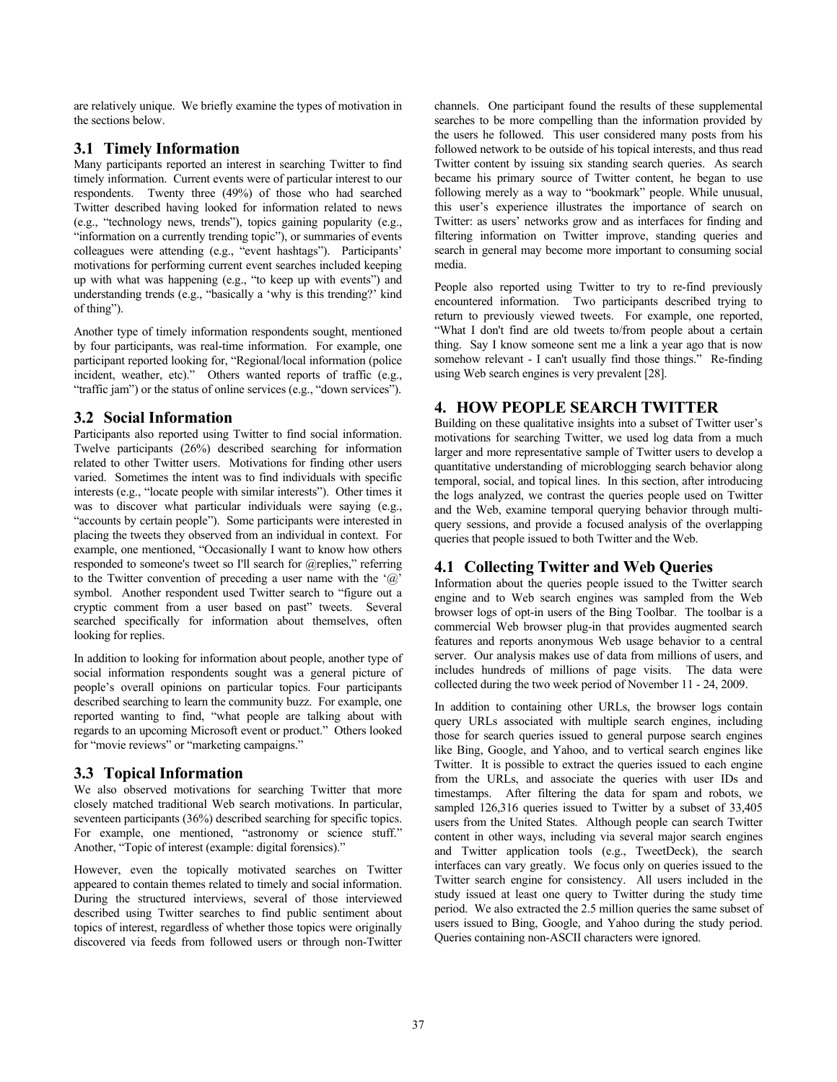are relatively unique. We briefly examine the types of motivation in the sections below.

# **3.1 Timely Information**

Many participants reported an interest in searching Twitter to find timely information. Current events were of particular interest to our respondents. Twenty three (49%) of those who had searched Twitter described having looked for information related to news (e.g., "technology news, trends"), topics gaining popularity (e.g., "information on a currently trending topic"), or summaries of events colleagues were attending (e.g., "event hashtags"). Participants' motivations for performing current event searches included keeping up with what was happening (e.g., "to keep up with events") and understanding trends (e.g., "basically a 'why is this trending?' kind of thing").

Another type of timely information respondents sought, mentioned by four participants, was real-time information. For example, one participant reported looking for, "Regional/local information (police incident, weather, etc)." Others wanted reports of traffic (e.g., "traffic jam") or the status of online services (e.g., "down services").

## **3.2 Social Information**

Participants also reported using Twitter to find social information. Twelve participants (26%) described searching for information related to other Twitter users. Motivations for finding other users varied. Sometimes the intent was to find individuals with specific interests (e.g., "locate people with similar interests"). Other times it was to discover what particular individuals were saying (e.g., "accounts by certain people"). Some participants were interested in placing the tweets they observed from an individual in context. For example, one mentioned, "Occasionally I want to know how others responded to someone's tweet so I'll search for @replies," referring to the Twitter convention of preceding a user name with the ' $\omega$ ' symbol. Another respondent used Twitter search to "figure out a cryptic comment from a user based on past" tweets. Several searched specifically for information about themselves, often looking for replies.

In addition to looking for information about people, another type of social information respondents sought was a general picture of people's overall opinions on particular topics. Four participants described searching to learn the community buzz. For example, one reported wanting to find, "what people are talking about with regards to an upcoming Microsoft event or product." Others looked for "movie reviews" or "marketing campaigns."

# **3.3 Topical Information**

We also observed motivations for searching Twitter that more closely matched traditional Web search motivations. In particular, seventeen participants (36%) described searching for specific topics. For example, one mentioned, "astronomy or science stuff." Another, "Topic of interest (example: digital forensics)."

However, even the topically motivated searches on Twitter appeared to contain themes related to timely and social information. During the structured interviews, several of those interviewed described using Twitter searches to find public sentiment about topics of interest, regardless of whether those topics were originally discovered via feeds from followed users or through non-Twitter

channels. One participant found the results of these supplemental searches to be more compelling than the information provided by the users he followed. This user considered many posts from his followed network to be outside of his topical interests, and thus read Twitter content by issuing six standing search queries. As search became his primary source of Twitter content, he began to use following merely as a way to "bookmark" people. While unusual, this user's experience illustrates the importance of search on Twitter: as users' networks grow and as interfaces for finding and filtering information on Twitter improve, standing queries and search in general may become more important to consuming social media.

People also reported using Twitter to try to re-find previously encountered information. Two participants described trying to return to previously viewed tweets. For example, one reported, "What I don't find are old tweets to/from people about a certain thing. Say I know someone sent me a link a year ago that is now somehow relevant - I can't usually find those things." Re-finding using Web search engines is very prevalent [28].

# **4. HOW PEOPLE SEARCH TWITTER**

Building on these qualitative insights into a subset of Twitter user's motivations for searching Twitter, we used log data from a much larger and more representative sample of Twitter users to develop a quantitative understanding of microblogging search behavior along temporal, social, and topical lines. In this section, after introducing the logs analyzed, we contrast the queries people used on Twitter and the Web, examine temporal querying behavior through multiquery sessions, and provide a focused analysis of the overlapping queries that people issued to both Twitter and the Web.

# **4.1 Collecting Twitter and Web Queries**

Information about the queries people issued to the Twitter search engine and to Web search engines was sampled from the Web browser logs of opt-in users of the Bing Toolbar. The toolbar is a commercial Web browser plug-in that provides augmented search features and reports anonymous Web usage behavior to a central server. Our analysis makes use of data from millions of users, and includes hundreds of millions of page visits. The data were collected during the two week period of November 11 - 24, 2009.

In addition to containing other URLs, the browser logs contain query URLs associated with multiple search engines, including those for search queries issued to general purpose search engines like Bing, Google, and Yahoo, and to vertical search engines like Twitter. It is possible to extract the queries issued to each engine from the URLs, and associate the queries with user IDs and timestamps. After filtering the data for spam and robots, we sampled 126,316 queries issued to Twitter by a subset of 33,405 users from the United States. Although people can search Twitter content in other ways, including via several major search engines and Twitter application tools (e.g., TweetDeck), the search interfaces can vary greatly. We focus only on queries issued to the Twitter search engine for consistency. All users included in the study issued at least one query to Twitter during the study time period. We also extracted the 2.5 million queries the same subset of users issued to Bing, Google, and Yahoo during the study period. Queries containing non-ASCII characters were ignored.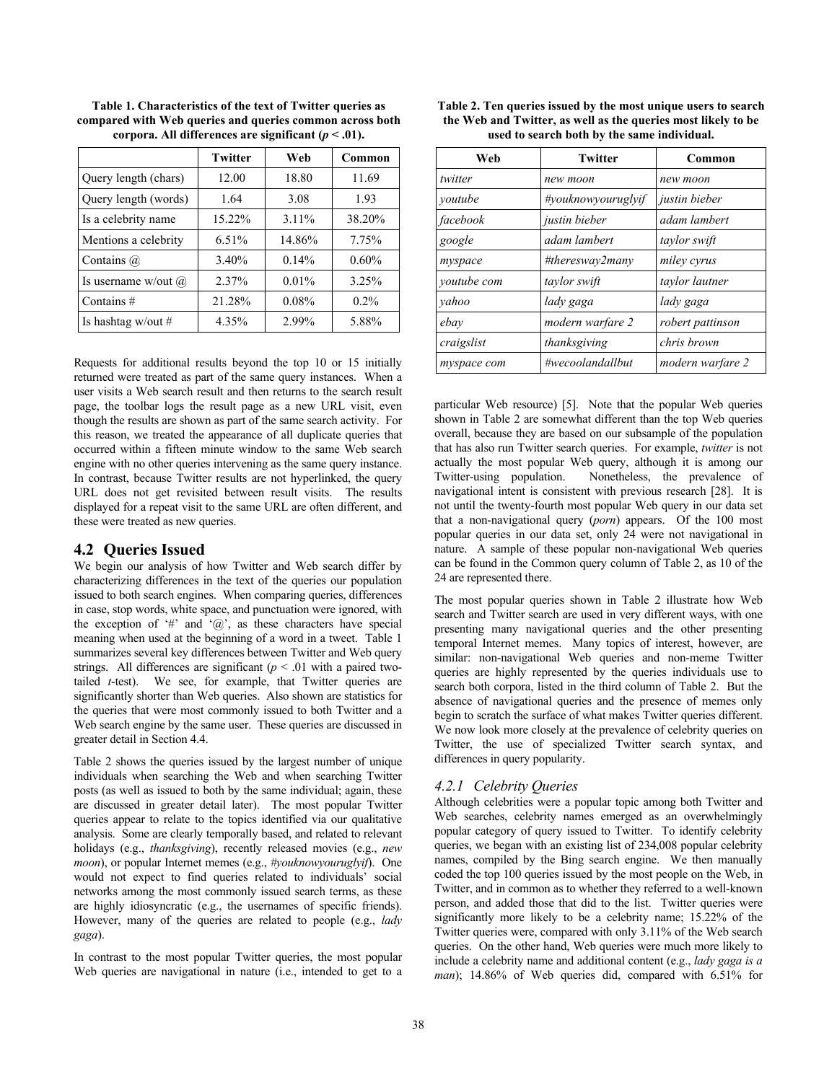|                            | <b>Twitter</b> | Web    | Common  |
|----------------------------|----------------|--------|---------|
| Query length (chars)       | 12.00          | 18.80  | 11.69   |
| Query length (words)       | 1.64           | 3.08   | 1.93    |
| Is a celebrity name        | 15.22%         | 3.11%  | 38.20%  |
| Mentions a celebrity       | 6.51%          | 14.86% | 7.75%   |
| Contains $(a)$             | 3.40%          | 0.14%  | 0.60%   |
| Is username w/out $\omega$ | 2.37%          | 0.01%  | 3.25%   |
| Contains #                 | 21.28%         | 0.08%  | $0.2\%$ |
| Is hashtag w/out #         | 4.35%          | 2.99%  | 5.88%   |

**Table 1. Characteristics of the text of Twitter queries as compared with Web queries and queries common across both corpora.** All differences are significant ( $p < .01$ ).

Requests for additional results beyond the top 10 or 15 initially returned were treated as part of the same query instances. When a user visits a Web search result and then returns to the search result page, the toolbar logs the result page as a new URL visit, even though the results are shown as part of the same search activity. For this reason, we treated the appearance of all duplicate queries that occurred within a fifteen minute window to the same Web search engine with no other queries intervening as the same query instance. In contrast, because Twitter results are not hyperlinked, the query URL does not get revisited between result visits. The results displayed for a repeat visit to the same URL are often different, and these were treated as new queries.

## **4.2 Queries Issued**

We begin our analysis of how Twitter and Web search differ by characterizing differences in the text of the queries our population issued to both search engines. When comparing queries, differences in case, stop words, white space, and punctuation were ignored, with the exception of '#' and  $\hat{a}$ ', as these characters have special meaning when used at the beginning of a word in a tweet. Table 1 summarizes several key differences between Twitter and Web query strings. All differences are significant ( $p < .01$  with a paired twotailed *t*-test). We see, for example, that Twitter queries are significantly shorter than Web queries. Also shown are statistics for the queries that were most commonly issued to both Twitter and a Web search engine by the same user. These queries are discussed in greater detail in Section 4.4.

Table 2 shows the queries issued by the largest number of unique individuals when searching the Web and when searching Twitter posts (as well as issued to both by the same individual; again, these are discussed in greater detail later). The most popular Twitter queries appear to relate to the topics identified via our qualitative analysis. Some are clearly temporally based, and related to relevant holidays (e.g., *thanksgiving*), recently released movies (e.g., *new moon*), or popular Internet memes (e.g., *#youknowyouruglyif*). One would not expect to find queries related to individuals' social networks among the most commonly issued search terms, as these are highly idiosyncratic (e.g., the usernames of specific friends). However, many of the queries are related to people (e.g., *lady gaga*).

In contrast to the most popular Twitter queries, the most popular Web queries are navigational in nature (i.e., intended to get to a

| Table 2. Ten queries issued by the most unique users to search |
|----------------------------------------------------------------|
| the Web and Twitter, as well as the queries most likely to be  |
| used to search both by the same individual.                    |

| Web         | <b>Twitter</b>     | Common           |
|-------------|--------------------|------------------|
| twitter     | new moon           | new moon         |
| youtube     | #youknowyouruglyif | justin bieber    |
| facebook    | justin bieber      | adam lambert     |
| google      | adam lambert       | taylor swift     |
| myspace     | #theresway2many    | miley cyrus      |
| voutube com | taylor swift       | taylor lautner   |
| vahoo       | lady gaga          | lady gaga        |
| ebay        | modern warfare 2   | robert pattinson |
| craigslist  | thanksgiving       | chris brown      |
| myspace com | #wecoolandallbut   | modern warfare 2 |

particular Web resource) [5]. Note that the popular Web queries shown in Table 2 are somewhat different than the top Web queries overall, because they are based on our subsample of the population that has also run Twitter search queries. For example, *twitter* is not actually the most popular Web query, although it is among our Twitter-using population. Nonetheless, the prevalence of navigational intent is consistent with previous research [28]. It is not until the twenty-fourth most popular Web query in our data set that a non-navigational query (*porn*) appears. Of the 100 most popular queries in our data set, only 24 were not navigational in nature. A sample of these popular non-navigational Web queries can be found in the Common query column of Table 2, as 10 of the 24 are represented there.

The most popular queries shown in Table 2 illustrate how Web search and Twitter search are used in very different ways, with one presenting many navigational queries and the other presenting temporal Internet memes. Many topics of interest, however, are similar: non-navigational Web queries and non-meme Twitter queries are highly represented by the queries individuals use to search both corpora, listed in the third column of Table 2. But the absence of navigational queries and the presence of memes only begin to scratch the surface of what makes Twitter queries different. We now look more closely at the prevalence of celebrity queries on Twitter, the use of specialized Twitter search syntax, and differences in query popularity.

## *4.2.1 Celebrity Queries*

Although celebrities were a popular topic among both Twitter and Web searches, celebrity names emerged as an overwhelmingly popular category of query issued to Twitter. To identify celebrity queries, we began with an existing list of 234,008 popular celebrity names, compiled by the Bing search engine. We then manually coded the top 100 queries issued by the most people on the Web, in Twitter, and in common as to whether they referred to a well-known person, and added those that did to the list. Twitter queries were significantly more likely to be a celebrity name; 15.22% of the Twitter queries were, compared with only 3.11% of the Web search queries. On the other hand, Web queries were much more likely to include a celebrity name and additional content (e.g., *lady gaga is a man*): 14.86% of Web queries did, compared with 6.51% for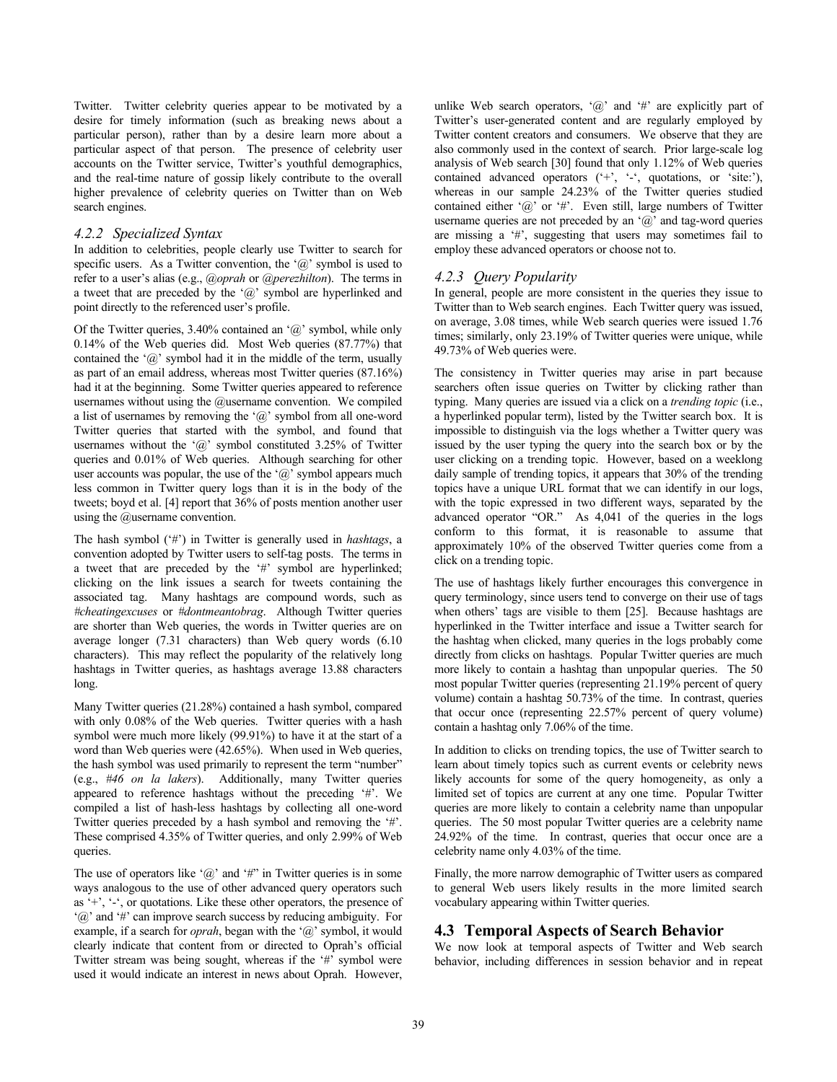Twitter. Twitter celebrity queries appear to be motivated by a desire for timely information (such as breaking news about a particular person), rather than by a desire learn more about a particular aspect of that person. The presence of celebrity user accounts on the Twitter service, Twitter's youthful demographics, and the real-time nature of gossip likely contribute to the overall higher prevalence of celebrity queries on Twitter than on Web search engines.

#### *4.2.2 Specialized Syntax*

In addition to celebrities, people clearly use Twitter to search for specific users. As a Twitter convention, the ' $\omega$ ' symbol is used to refer to a user's alias (e.g., *@oprah* or *@perezhilton*). The terms in a tweet that are preceded by the ' $\omega$ ' symbol are hyperlinked and point directly to the referenced user's profile.

Of the Twitter queries, 3.40% contained an '@' symbol, while only 0.14% of the Web queries did. Most Web queries (87.77%) that contained the  $\hat{a}$  symbol had it in the middle of the term, usually as part of an email address, whereas most Twitter queries (87.16%) had it at the beginning. Some Twitter queries appeared to reference usernames without using the  $@$ username convention. We compiled a list of usernames by removing the ' $(a)$ ' symbol from all one-word Twitter queries that started with the symbol, and found that usernames without the ' $\omega$ ' symbol constituted 3.25% of Twitter queries and 0.01% of Web queries. Although searching for other user accounts was popular, the use of the '@' symbol appears much less common in Twitter query logs than it is in the body of the tweets; boyd et al. [4] report that 36% of posts mention another user using the @username convention.

The hash symbol ('#') in Twitter is generally used in *hashtags*, a convention adopted by Twitter users to self-tag posts. The terms in a tweet that are preceded by the '#' symbol are hyperlinked; clicking on the link issues a search for tweets containing the associated tag. Many hashtags are compound words, such as *#cheatingexcuses* or *#dontmeantobrag*. Although Twitter queries are shorter than Web queries, the words in Twitter queries are on average longer (7.31 characters) than Web query words (6.10 characters). This may reflect the popularity of the relatively long hashtags in Twitter queries, as hashtags average 13.88 characters long.

Many Twitter queries (21.28%) contained a hash symbol, compared with only 0.08% of the Web queries. Twitter queries with a hash symbol were much more likely (99.91%) to have it at the start of a word than Web queries were (42.65%). When used in Web queries, the hash symbol was used primarily to represent the term "number" (e.g., *#46 on la lakers*). Additionally, many Twitter queries appeared to reference hashtags without the preceding '#'. We compiled a list of hash-less hashtags by collecting all one-word Twitter queries preceded by a hash symbol and removing the '#'. These comprised 4.35% of Twitter queries, and only 2.99% of Web queries.

The use of operators like ' $\omega$ ' and '#'' in Twitter queries is in some ways analogous to the use of other advanced query operators such as  $+$ ,  $-$ ,  $-$ , or quotations. Like these other operators, the presence of '@' and '#' can improve search success by reducing ambiguity. For example, if a search for *oprah*, began with the '@' symbol, it would clearly indicate that content from or directed to Oprah's official Twitter stream was being sought, whereas if the '#' symbol were used it would indicate an interest in news about Oprah. However,

unlike Web search operators,  $\langle \omega \rangle$  and  $\langle \psi \rangle$  are explicitly part of Twitter's user-generated content and are regularly employed by Twitter content creators and consumers. We observe that they are also commonly used in the context of search. Prior large-scale log analysis of Web search [30] found that only 1.12% of Web queries contained advanced operators ('+', '-', quotations, or 'site:'), whereas in our sample 24.23% of the Twitter queries studied contained either ' $\omega$ ' or '#'. Even still, large numbers of Twitter username queries are not preceded by an  $\hat{a}$  and tag-word queries are missing a '#', suggesting that users may sometimes fail to employ these advanced operators or choose not to.

### *4.2.3 Query Popularity*

In general, people are more consistent in the queries they issue to Twitter than to Web search engines. Each Twitter query was issued, on average, 3.08 times, while Web search queries were issued 1.76 times; similarly, only 23.19% of Twitter queries were unique, while 49.73% of Web queries were.

The consistency in Twitter queries may arise in part because searchers often issue queries on Twitter by clicking rather than typing. Many queries are issued via a click on a *trending topic* (i.e., a hyperlinked popular term), listed by the Twitter search box. It is impossible to distinguish via the logs whether a Twitter query was issued by the user typing the query into the search box or by the user clicking on a trending topic. However, based on a weeklong daily sample of trending topics, it appears that 30% of the trending topics have a unique URL format that we can identify in our logs, with the topic expressed in two different ways, separated by the advanced operator "OR." As 4,041 of the queries in the logs conform to this format, it is reasonable to assume that approximately 10% of the observed Twitter queries come from a click on a trending topic.

The use of hashtags likely further encourages this convergence in query terminology, since users tend to converge on their use of tags when others' tags are visible to them [25]. Because hashtags are hyperlinked in the Twitter interface and issue a Twitter search for the hashtag when clicked, many queries in the logs probably come directly from clicks on hashtags. Popular Twitter queries are much more likely to contain a hashtag than unpopular queries. The 50 most popular Twitter queries (representing 21.19% percent of query volume) contain a hashtag 50.73% of the time. In contrast, queries that occur once (representing 22.57% percent of query volume) contain a hashtag only 7.06% of the time.

In addition to clicks on trending topics, the use of Twitter search to learn about timely topics such as current events or celebrity news likely accounts for some of the query homogeneity, as only a limited set of topics are current at any one time. Popular Twitter queries are more likely to contain a celebrity name than unpopular queries. The 50 most popular Twitter queries are a celebrity name 24.92% of the time. In contrast, queries that occur once are a celebrity name only 4.03% of the time.

Finally, the more narrow demographic of Twitter users as compared to general Web users likely results in the more limited search vocabulary appearing within Twitter queries.

## **4.3 Temporal Aspects of Search Behavior**

We now look at temporal aspects of Twitter and Web search behavior, including differences in session behavior and in repeat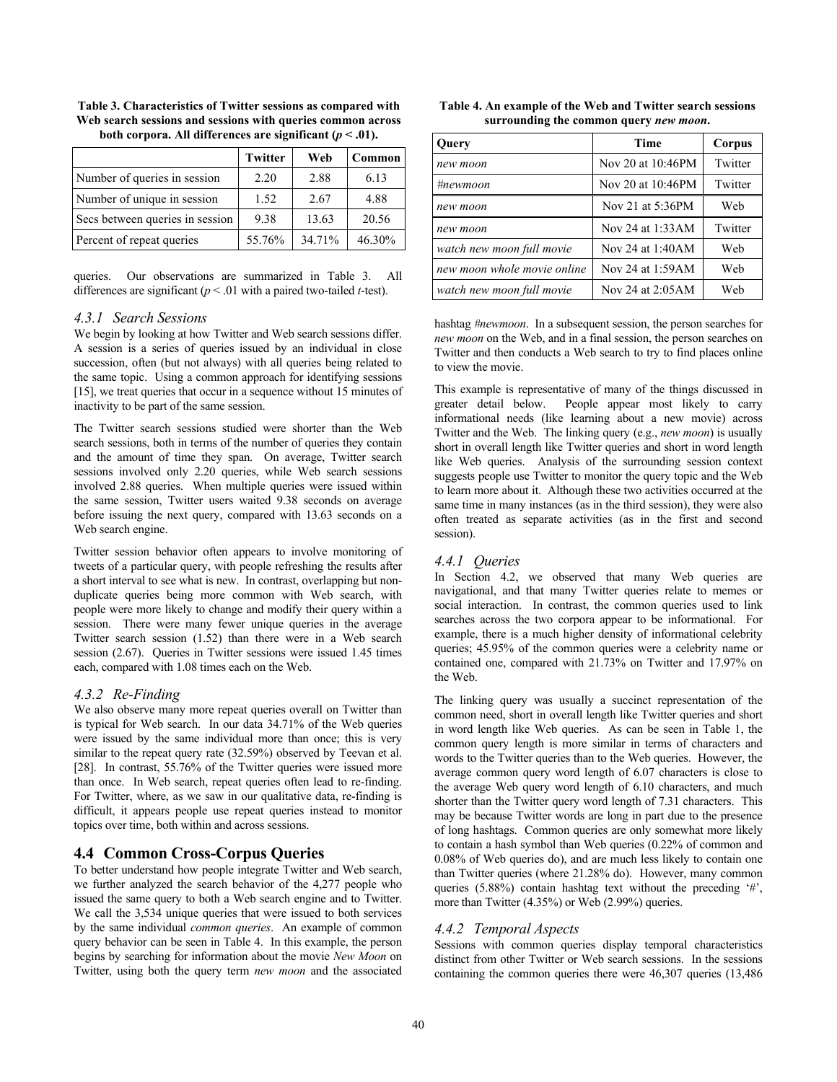|                                 | <b>Twitter</b> | Web    | Common |
|---------------------------------|----------------|--------|--------|
| Number of queries in session    | 2.20           | 2.88   | 6.13   |
| Number of unique in session     | 1.52           | 2.67   | 4.88   |
| Secs between queries in session | 9.38           | 13.63  | 20.56  |
| Percent of repeat queries       | 55.76%         | 34.71% | 46.30% |

**Table 3. Characteristics of Twitter sessions as compared with Web search sessions and sessions with queries common across both corpora. All differences are significant**  $(p < .01)$ **.** 

queries. Our observations are summarized in Table 3. All differences are significant  $(p < .01$  with a paired two-tailed *t*-test).

#### *4.3.1 Search Sessions*

We begin by looking at how Twitter and Web search sessions differ. A session is a series of queries issued by an individual in close succession, often (but not always) with all queries being related to the same topic. Using a common approach for identifying sessions [15], we treat queries that occur in a sequence without 15 minutes of inactivity to be part of the same session.

The Twitter search sessions studied were shorter than the Web search sessions, both in terms of the number of queries they contain and the amount of time they span. On average, Twitter search sessions involved only 2.20 queries, while Web search sessions involved 2.88 queries. When multiple queries were issued within the same session, Twitter users waited 9.38 seconds on average before issuing the next query, compared with 13.63 seconds on a Web search engine.

Twitter session behavior often appears to involve monitoring of tweets of a particular query, with people refreshing the results after a short interval to see what is new. In contrast, overlapping but nonduplicate queries being more common with Web search, with people were more likely to change and modify their query within a session. There were many fewer unique queries in the average Twitter search session (1.52) than there were in a Web search session (2.67). Queries in Twitter sessions were issued 1.45 times each, compared with 1.08 times each on the Web.

#### *4.3.2 Re-Finding*

We also observe many more repeat queries overall on Twitter than is typical for Web search. In our data 34.71% of the Web queries were issued by the same individual more than once; this is very similar to the repeat query rate (32.59%) observed by Teevan et al. [28]. In contrast, 55.76% of the Twitter queries were issued more than once. In Web search, repeat queries often lead to re-finding. For Twitter, where, as we saw in our qualitative data, re-finding is difficult, it appears people use repeat queries instead to monitor topics over time, both within and across sessions.

#### **4.4 Common Cross-Corpus Queries**

To better understand how people integrate Twitter and Web search, we further analyzed the search behavior of the 4,277 people who issued the same query to both a Web search engine and to Twitter. We call the 3,534 unique queries that were issued to both services by the same individual *common queries*. An example of common query behavior can be seen in Table 4. In this example, the person begins by searching for information about the movie *New Moon* on Twitter, using both the query term *new moon* and the associated

| Table 4. An example of the Web and Twitter search sessions |  |
|------------------------------------------------------------|--|
| surrounding the common query <i>new moon</i> .             |  |

| Query                       | <b>Time</b>       | Corpus  |
|-----------------------------|-------------------|---------|
| new moon                    | Nov 20 at 10:46PM | Twitter |
| #newmoon                    | Nov 20 at 10:46PM | Twitter |
| new moon                    | Nov 21 at 5:36PM  | Web     |
| new moon                    | Nov 24 at 1:33AM  | Twitter |
| watch new moon full movie   | Nov 24 at 1:40AM  | Web     |
| new moon whole movie online | Nov 24 at 1:59AM  | Web     |
| watch new moon full movie   | Nov 24 at 2:05 AM | Web     |

hashtag *#newmoon*. In a subsequent session, the person searches for *new moon* on the Web, and in a final session, the person searches on Twitter and then conducts a Web search to try to find places online to view the movie.

This example is representative of many of the things discussed in greater detail below. People appear most likely to carry informational needs (like learning about a new movie) across Twitter and the Web. The linking query (e.g., *new moon*) is usually short in overall length like Twitter queries and short in word length like Web queries. Analysis of the surrounding session context suggests people use Twitter to monitor the query topic and the Web to learn more about it. Although these two activities occurred at the same time in many instances (as in the third session), they were also often treated as separate activities (as in the first and second session).

#### *4.4.1 Queries*

In Section 4.2, we observed that many Web queries are navigational, and that many Twitter queries relate to memes or social interaction. In contrast, the common queries used to link searches across the two corpora appear to be informational. For example, there is a much higher density of informational celebrity queries; 45.95% of the common queries were a celebrity name or contained one, compared with 21.73% on Twitter and 17.97% on the Web.

The linking query was usually a succinct representation of the common need, short in overall length like Twitter queries and short in word length like Web queries. As can be seen in Table 1, the common query length is more similar in terms of characters and words to the Twitter queries than to the Web queries. However, the average common query word length of 6.07 characters is close to the average Web query word length of 6.10 characters, and much shorter than the Twitter query word length of 7.31 characters. This may be because Twitter words are long in part due to the presence of long hashtags. Common queries are only somewhat more likely to contain a hash symbol than Web queries (0.22% of common and 0.08% of Web queries do), and are much less likely to contain one than Twitter queries (where 21.28% do). However, many common queries  $(5.88\%)$  contain hashtag text without the preceding '#', more than Twitter (4.35%) or Web (2.99%) queries.

#### *4.4.2 Temporal Aspects*

Sessions with common queries display temporal characteristics distinct from other Twitter or Web search sessions. In the sessions containing the common queries there were 46,307 queries (13,486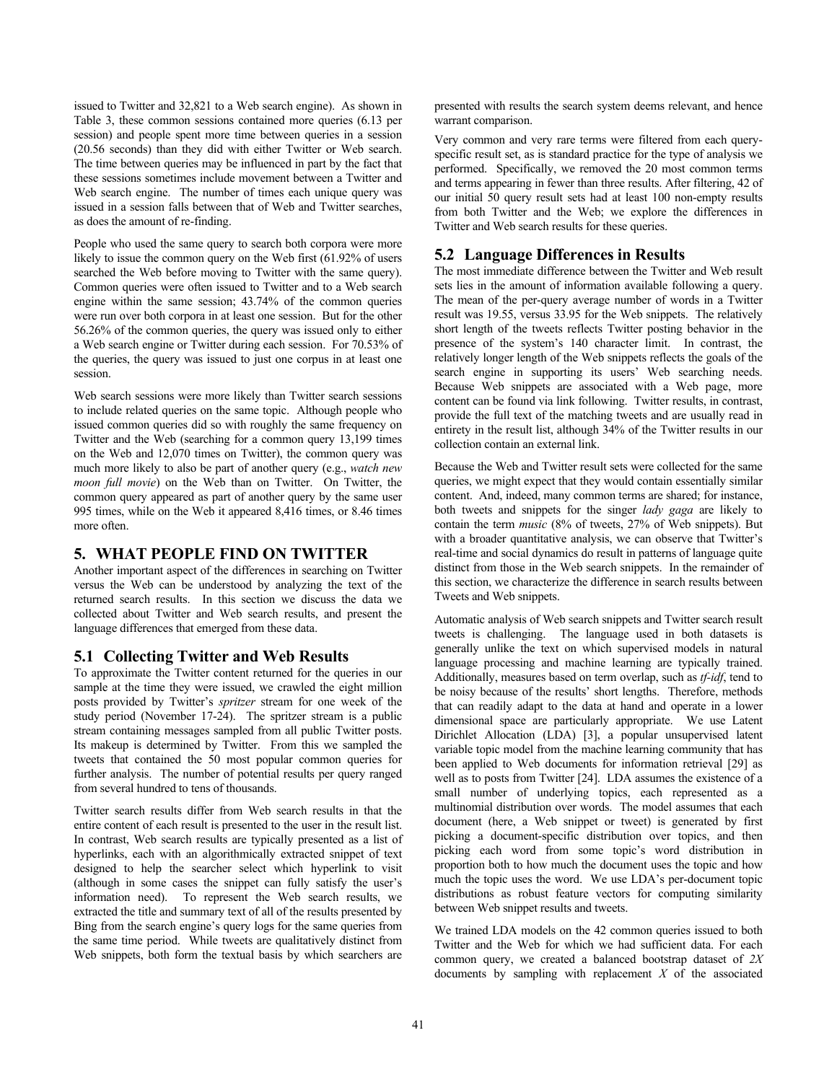issued to Twitter and 32,821 to a Web search engine). As shown in Table 3, these common sessions contained more queries (6.13 per session) and people spent more time between queries in a session (20.56 seconds) than they did with either Twitter or Web search. The time between queries may be influenced in part by the fact that these sessions sometimes include movement between a Twitter and Web search engine. The number of times each unique query was issued in a session falls between that of Web and Twitter searches, as does the amount of re-finding.

People who used the same query to search both corpora were more likely to issue the common query on the Web first (61.92% of users searched the Web before moving to Twitter with the same query). Common queries were often issued to Twitter and to a Web search engine within the same session; 43.74% of the common queries were run over both corpora in at least one session. But for the other 56.26% of the common queries, the query was issued only to either a Web search engine or Twitter during each session. For 70.53% of the queries, the query was issued to just one corpus in at least one session.

Web search sessions were more likely than Twitter search sessions to include related queries on the same topic. Although people who issued common queries did so with roughly the same frequency on Twitter and the Web (searching for a common query 13,199 times on the Web and 12,070 times on Twitter), the common query was much more likely to also be part of another query (e.g., *watch new moon full movie*) on the Web than on Twitter. On Twitter, the common query appeared as part of another query by the same user 995 times, while on the Web it appeared 8,416 times, or 8.46 times more often.

# **5. WHAT PEOPLE FIND ON TWITTER**

Another important aspect of the differences in searching on Twitter versus the Web can be understood by analyzing the text of the returned search results. In this section we discuss the data we collected about Twitter and Web search results, and present the language differences that emerged from these data.

## **5.1 Collecting Twitter and Web Results**

To approximate the Twitter content returned for the queries in our sample at the time they were issued, we crawled the eight million posts provided by Twitter's *spritzer* stream for one week of the study period (November 17-24). The spritzer stream is a public stream containing messages sampled from all public Twitter posts. Its makeup is determined by Twitter. From this we sampled the tweets that contained the 50 most popular common queries for further analysis. The number of potential results per query ranged from several hundred to tens of thousands.

Twitter search results differ from Web search results in that the entire content of each result is presented to the user in the result list. In contrast, Web search results are typically presented as a list of hyperlinks, each with an algorithmically extracted snippet of text designed to help the searcher select which hyperlink to visit (although in some cases the snippet can fully satisfy the user's information need). To represent the Web search results, we extracted the title and summary text of all of the results presented by Bing from the search engine's query logs for the same queries from the same time period. While tweets are qualitatively distinct from Web snippets, both form the textual basis by which searchers are

presented with results the search system deems relevant, and hence warrant comparison.

Very common and very rare terms were filtered from each queryspecific result set, as is standard practice for the type of analysis we performed. Specifically, we removed the 20 most common terms and terms appearing in fewer than three results. After filtering, 42 of our initial 50 query result sets had at least 100 non-empty results from both Twitter and the Web; we explore the differences in Twitter and Web search results for these queries.

# **5.2 Language Differences in Results**

The most immediate difference between the Twitter and Web result sets lies in the amount of information available following a query. The mean of the per-query average number of words in a Twitter result was 19.55, versus 33.95 for the Web snippets. The relatively short length of the tweets reflects Twitter posting behavior in the presence of the system's 140 character limit. In contrast, the relatively longer length of the Web snippets reflects the goals of the search engine in supporting its users' Web searching needs. Because Web snippets are associated with a Web page, more content can be found via link following. Twitter results, in contrast, provide the full text of the matching tweets and are usually read in entirety in the result list, although  $34\%$  of the Twitter results in our collection contain an external link.

Because the Web and Twitter result sets were collected for the same queries, we might expect that they would contain essentially similar content. And, indeed, many common terms are shared; for instance, both tweets and snippets for the singer *lady gaga* are likely to contain the term *music* (8% of tweets, 27% of Web snippets). But with a broader quantitative analysis, we can observe that Twitter's real-time and social dynamics do result in patterns of language quite distinct from those in the Web search snippets. In the remainder of this section, we characterize the difference in search results between Tweets and Web snippets.

Automatic analysis of Web search snippets and Twitter search result tweets is challenging. The language used in both datasets is generally unlike the text on which supervised models in natural language processing and machine learning are typically trained. Additionally, measures based on term overlap, such as *tf-idf*, tend to be noisy because of the results' short lengths. Therefore, methods that can readily adapt to the data at hand and operate in a lower dimensional space are particularly appropriate. We use Latent Dirichlet Allocation (LDA) [3], a popular unsupervised latent variable topic model from the machine learning community that has been applied to Web documents for information retrieval [29] as well as to posts from Twitter [24]. LDA assumes the existence of a small number of underlying topics, each represented as a multinomial distribution over words. The model assumes that each document (here, a Web snippet or tweet) is generated by first picking a document-specific distribution over topics, and then picking each word from some topic's word distribution in proportion both to how much the document uses the topic and how much the topic uses the word. We use LDA's per-document topic distributions as robust feature vectors for computing similarity between Web snippet results and tweets.

We trained LDA models on the 42 common queries issued to both Twitter and the Web for which we had sufficient data. For each common query, we created a balanced bootstrap dataset of *2X*  documents by sampling with replacement *X* of the associated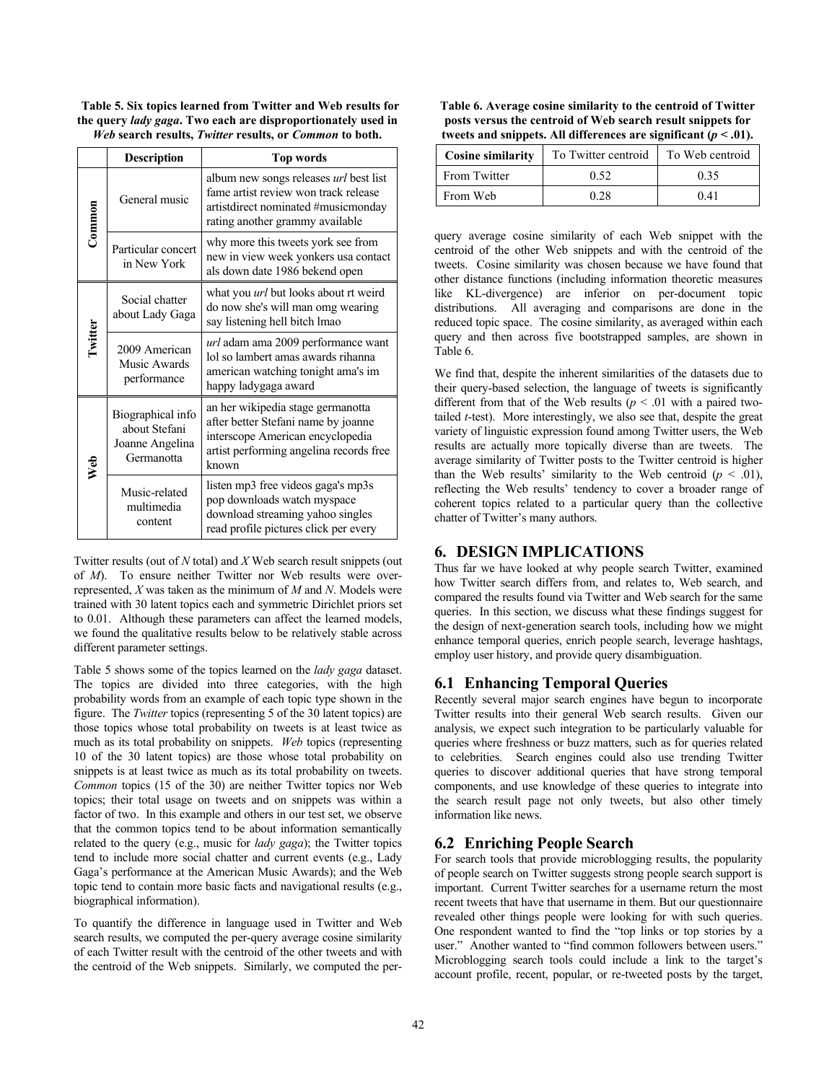**Table 5. Six topics learned from Twitter and Web results for the query** *lady gaga***. Two each are disproportionately used in**  *Web* **search results,** *Twitter* **results, or** *Common* **to both.** 

|         | <b>Description</b>                                                  | Top words                                                                                                                                                        |
|---------|---------------------------------------------------------------------|------------------------------------------------------------------------------------------------------------------------------------------------------------------|
| Common  | General music                                                       | album new songs releases url best list<br>fame artist review won track release<br>artistdirect nominated #musicmonday<br>rating another grammy available         |
|         | Particular concert<br>in New York                                   | why more this tweets york see from<br>new in view week yonkers usa contact<br>als down date 1986 bekend open                                                     |
|         | Social chatter<br>about Lady Gaga                                   | what you <i>url</i> but looks about rt weird<br>do now she's will man omg wearing<br>say listening hell bitch Imao                                               |
| Twitter | 2009 American<br>Music Awards<br>performance                        | url adam ama 2009 performance want<br>lol so lambert amas awards rihanna<br>american watching tonight ama's im<br>happy ladygaga award                           |
| Web     | Biographical info<br>about Stefani<br>Joanne Angelina<br>Germanotta | an her wikipedia stage germanotta<br>after better Stefani name by joanne<br>interscope American encyclopedia<br>artist performing angelina records free<br>known |
|         | Music-related<br>multimedia<br>content                              | listen mp3 free videos gaga's mp3s<br>pop downloads watch myspace<br>download streaming yahoo singles<br>read profile pictures click per every                   |

Twitter results (out of *N* total) and *X* Web search result snippets (out of *M*). To ensure neither Twitter nor Web results were overrepresented, *X* was taken as the minimum of *M* and *N*. Models were trained with 30 latent topics each and symmetric Dirichlet priors set to 0.01. Although these parameters can affect the learned models, we found the qualitative results below to be relatively stable across different parameter settings.

Table 5 shows some of the topics learned on the *lady gaga* dataset. The topics are divided into three categories, with the high probability words from an example of each topic type shown in the figure. The *Twitter* topics (representing 5 of the 30 latent topics) are those topics whose total probability on tweets is at least twice as much as its total probability on snippets. *Web* topics (representing 10 of the 30 latent topics) are those whose total probability on snippets is at least twice as much as its total probability on tweets. *Common* topics (15 of the 30) are neither Twitter topics nor Web topics; their total usage on tweets and on snippets was within a factor of two. In this example and others in our test set, we observe that the common topics tend to be about information semantically related to the query (e.g., music for *lady gaga*); the Twitter topics tend to include more social chatter and current events (e.g., Lady Gaga's performance at the American Music Awards); and the Web topic tend to contain more basic facts and navigational results (e.g., biographical information).

To quantify the difference in language used in Twitter and Web search results, we computed the per-query average cosine similarity of each Twitter result with the centroid of the other tweets and with the centroid of the Web snippets. Similarly, we computed the per-

| Table 6. Average cosine similarity to the centroid of Twitter       |
|---------------------------------------------------------------------|
| posts versus the centroid of Web search result snippets for         |
| tweets and snippets. All differences are significant ( $p < .01$ ). |

| <b>Cosine similarity</b> | To Twitter centroid   To Web centroid |      |
|--------------------------|---------------------------------------|------|
| From Twitter             | 0.52                                  | 0.35 |
| From Web                 | 0.28                                  | 0.41 |

query average cosine similarity of each Web snippet with the centroid of the other Web snippets and with the centroid of the tweets. Cosine similarity was chosen because we have found that other distance functions (including information theoretic measures like KL-divergence) are inferior on per-document topic distributions. All averaging and comparisons are done in the reduced topic space. The cosine similarity, as averaged within each query and then across five bootstrapped samples, are shown in Table 6.

We find that, despite the inherent similarities of the datasets due to their query-based selection, the language of tweets is significantly different from that of the Web results ( $p < .01$  with a paired twotailed *t*-test). More interestingly, we also see that, despite the great variety of linguistic expression found among Twitter users, the Web results are actually more topically diverse than are tweets. The average similarity of Twitter posts to the Twitter centroid is higher than the Web results' similarity to the Web centroid  $(p < .01)$ , reflecting the Web results' tendency to cover a broader range of coherent topics related to a particular query than the collective chatter of Twitter's many authors.

# **6. DESIGN IMPLICATIONS**

Thus far we have looked at why people search Twitter, examined how Twitter search differs from, and relates to, Web search, and compared the results found via Twitter and Web search for the same queries. In this section, we discuss what these findings suggest for the design of next-generation search tools, including how we might enhance temporal queries, enrich people search, leverage hashtags, employ user history, and provide query disambiguation.

# **6.1 Enhancing Temporal Queries**

Recently several major search engines have begun to incorporate Twitter results into their general Web search results. Given our analysis, we expect such integration to be particularly valuable for queries where freshness or buzz matters, such as for queries related to celebrities. Search engines could also use trending Twitter queries to discover additional queries that have strong temporal components, and use knowledge of these queries to integrate into the search result page not only tweets, but also other timely information like news.

# **6.2 Enriching People Search**

For search tools that provide microblogging results, the popularity of people search on Twitter suggests strong people search support is important. Current Twitter searches for a username return the most recent tweets that have that username in them. But our questionnaire revealed other things people were looking for with such queries. One respondent wanted to find the "top links or top stories by a user." Another wanted to "find common followers between users." Microblogging search tools could include a link to the target's account profile, recent, popular, or re-tweeted posts by the target,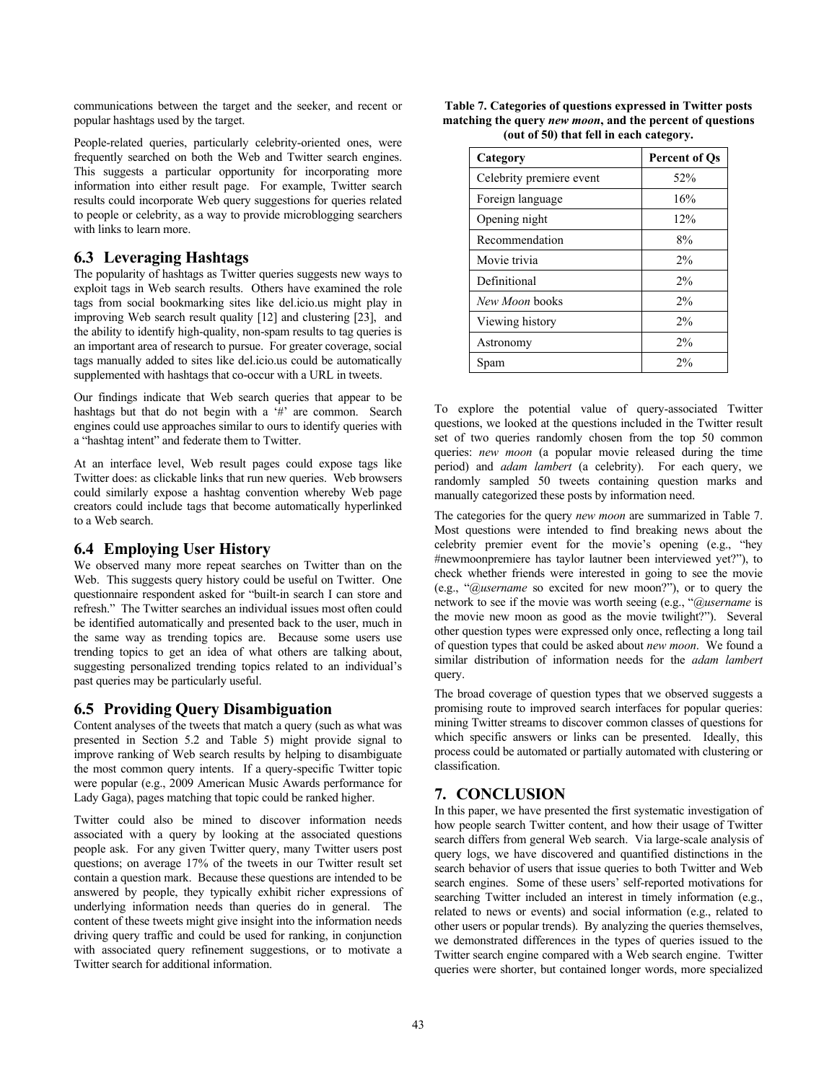communications between the target and the seeker, and recent or popular hashtags used by the target.

People-related queries, particularly celebrity-oriented ones, were frequently searched on both the Web and Twitter search engines. This suggests a particular opportunity for incorporating more information into either result page. For example, Twitter search results could incorporate Web query suggestions for queries related to people or celebrity, as a way to provide microblogging searchers with links to learn more.

# **6.3 Leveraging Hashtags**

The popularity of hashtags as Twitter queries suggests new ways to exploit tags in Web search results. Others have examined the role tags from social bookmarking sites like del.icio.us might play in improving Web search result quality [12] and clustering [23], and the ability to identify high-quality, non-spam results to tag queries is an important area of research to pursue. For greater coverage, social tags manually added to sites like del.icio.us could be automatically supplemented with hashtags that co-occur with a URL in tweets.

Our findings indicate that Web search queries that appear to be hashtags but that do not begin with a '#' are common. Search engines could use approaches similar to ours to identify queries with a "hashtag intent" and federate them to Twitter.

At an interface level, Web result pages could expose tags like Twitter does: as clickable links that run new queries. Web browsers could similarly expose a hashtag convention whereby Web page creators could include tags that become automatically hyperlinked to a Web search.

# **6.4 Employing User History**

We observed many more repeat searches on Twitter than on the Web. This suggests query history could be useful on Twitter. One questionnaire respondent asked for "built-in search I can store and refresh." The Twitter searches an individual issues most often could be identified automatically and presented back to the user, much in the same way as trending topics are. Because some users use trending topics to get an idea of what others are talking about, suggesting personalized trending topics related to an individual's past queries may be particularly useful.

# **6.5 Providing Query Disambiguation**

Content analyses of the tweets that match a query (such as what was presented in Section 5.2 and Table 5) might provide signal to improve ranking of Web search results by helping to disambiguate the most common query intents. If a query-specific Twitter topic were popular (e.g., 2009 American Music Awards performance for Lady Gaga), pages matching that topic could be ranked higher.

Twitter could also be mined to discover information needs associated with a query by looking at the associated questions people ask. For any given Twitter query, many Twitter users post questions; on average 17% of the tweets in our Twitter result set contain a question mark. Because these questions are intended to be answered by people, they typically exhibit richer expressions of underlying information needs than queries do in general. The content of these tweets might give insight into the information needs driving query traffic and could be used for ranking, in conjunction with associated query refinement suggestions, or to motivate a Twitter search for additional information.

| Table 7. Categories of questions expressed in Twitter posts       |
|-------------------------------------------------------------------|
| matching the query <i>new moon</i> , and the percent of questions |
| (out of 50) that fell in each category.                           |

| Category                 | Percent of Qs |
|--------------------------|---------------|
| Celebrity premiere event | 52%           |
| Foreign language         | 16%           |
| Opening night            | 12%           |
| Recommendation           | 8%            |
| Movie trivia             | $2\%$         |
| Definitional             | $2\%$         |
| New Moon books           | 2%            |
| Viewing history          | 2%            |
| Astronomy                | 2%            |
| Spam                     | 2%            |

To explore the potential value of query-associated Twitter questions, we looked at the questions included in the Twitter result set of two queries randomly chosen from the top 50 common queries: *new moon* (a popular movie released during the time period) and *adam lambert* (a celebrity). For each query, we randomly sampled 50 tweets containing question marks and manually categorized these posts by information need.

The categories for the query *new moon* are summarized in Table 7. Most questions were intended to find breaking news about the celebrity premier event for the movie's opening (e.g., "hey #newmoonpremiere has taylor lautner been interviewed yet?"), to check whether friends were interested in going to see the movie (e.g., "@*username* so excited for new moon?"), or to query the network to see if the movie was worth seeing (e.g., "@*username* is the movie new moon as good as the movie twilight?"). Several other question types were expressed only once, reflecting a long tail of question types that could be asked about *new moon*. We found a similar distribution of information needs for the *adam lambert* query.

The broad coverage of question types that we observed suggests a promising route to improved search interfaces for popular queries: mining Twitter streams to discover common classes of questions for which specific answers or links can be presented. Ideally, this process could be automated or partially automated with clustering or classification.

## **7. CONCLUSION**

In this paper, we have presented the first systematic investigation of how people search Twitter content, and how their usage of Twitter search differs from general Web search. Via large-scale analysis of query logs, we have discovered and quantified distinctions in the search behavior of users that issue queries to both Twitter and Web search engines. Some of these users' self-reported motivations for searching Twitter included an interest in timely information (e.g., related to news or events) and social information (e.g., related to other users or popular trends). By analyzing the queries themselves, we demonstrated differences in the types of queries issued to the Twitter search engine compared with a Web search engine. Twitter queries were shorter, but contained longer words, more specialized